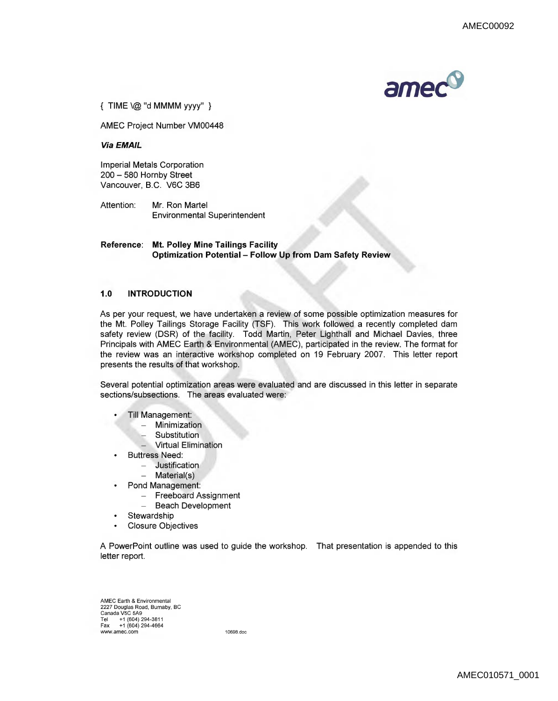

{ TIME\@ "d MMMM yyyy" }

AMEC Project Number VM00448

**Via EMAIL** 

Imperial Metals Corporation 200 - 580 Hornby Street Vancouver, B.C. V6C 3B6

Attention: Mr. Ron Martel Environmental Superintendent

**Reference: Mt. Polley Mine Tailings Facility Optimization Potential - Follow Up from Dam Safety Review** 

## **1.0 INTRODUCTION**

As per your request, we have undertaken a review of some possible optimization measures for the Mt. Polley Tailings Storage Facility (TSF). This work followed a recently completed dam safety review (DSR) of the facility. Todd Martin, Peter Lighthall and Michael Davies, three Principals with AMEC Earth & Environmental (AMEC), participated in the review. The format for the review was an interactive workshop completed on 19 February 2007. This letter report presents the results of that workshop.

Several potential optimization areas were evaluated and are discussed in this letter in separate sections/subsections. The areas evaluated were:

- Till Management:
	- Minimization
	- Substitution
	- **Virtual Elimination**
- **Buttress Need:** •
	- $-$  Justification
	- $-$  Material(s)
- Pond Management:
	- Freeboard Assignment
	- Beach Development
- Stewardship
- Closure Objectives  $\bullet$

A PowerPoint outline was used to guide the workshop. That presentation is appended to this letter report.

AMEC Earth & Environmental 2227 Douglas Road, Burnaby, BC Canada V5C 5A9 Tel +1 (604) 294-3811 Fax +1 (604) 294-4664 www.amec.com 10698.doc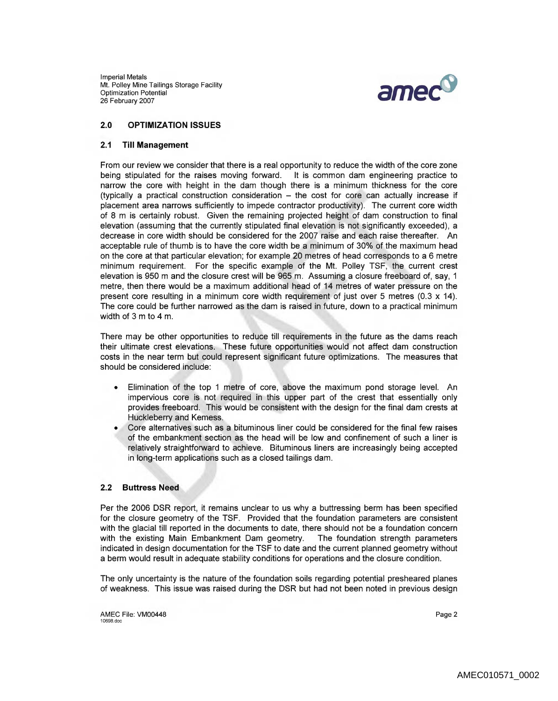Imperial Metals Mt. Polley Mine Tailings Storage Facility Optimization Potential 26 February 2007



# **2.0 OPTIMIZATION ISSUES**

### **2.1 Till Management**

From our review we consider that there is a real opportunity to reduce the width of the core zone being stipulated for the raises moving forward. It is common dam engineering practice to narrow the core with height in the dam though there is a minimum thickness for the core (typically a practical construction consideration  $-$  the cost for core can actually increase if placement area narrows sufficiently to impede contractor productivity). The current core width of 8 m is certainly robust. Given the remaining projected height of dam construction to final elevation (assuming that the currently stipulated final elevation is not significantly exceeded), a decrease in core width should be considered for the 2007 raise and each raise thereafter. An acceptable rule of thumb is to have the core width be a minimum of 30% of the maximum head on the core at that particular elevation; for example 20 metres of head corresponds to a 6 metre minimum requirement. For the specific example of the Mt. Polley TSF, the current crest elevation is 950 m and the closure crest will be 965 m. Assuming a closure freeboard of, say, 1 metre, then there would be a maximum additional head of 14 metres of water pressure on the present core resulting in a minimum core width requirement of just over 5 metres (0.3  $\times$  14). The core could be further narrowed as the dam is raised in future, down to a practical minimum width of 3 m to 4 m.

There may be other opportunities to reduce till requirements in the future as the dams reach their ultimate crest elevations. These future opportunities would not affect dam construction costs in the near term but could represent significant future optimizations. The measures that should be considered include:

- Elimination of the top 1 metre of core, above the maximum pond storage level. An impervious core is not required in this upper part of the crest that essentially only provides freeboard. This would be consistent with the design for the final dam crests at Huckleberry and Kemess.
- Core alternatives such as a bituminous liner could be considered for the final few raises of the embankment section as the head will be low and confinement of such a liner is relatively straightforward to achieve. Bituminous liners are increasingly being accepted in long-term applications such as a closed tailings dam.

### **2.2 Buttress Need**

Per the 2006 DSR report, it remains unclear to us why a buttressing berm has been specified for the closure geometry of the TSF. Provided that the foundation parameters are consistent with the glacial till reported in the documents to date, there should not be a foundation concern with the existing Main Embankment Dam geometry. The foundation strength parameters indicated in design documentation for the TSF to date and the current planned geometry without a berm would result in adequate stability conditions for operations and the closure condition.

The only uncertainty is the nature of the foundation soils regarding potential presheared planes of weakness. This issue was raised during the DSR but had not been noted in previous design

AMEC File: VM00448 Page 2 10698.doc Page 2 10698.doc Page 2 10698.doc Page 2 10698.doc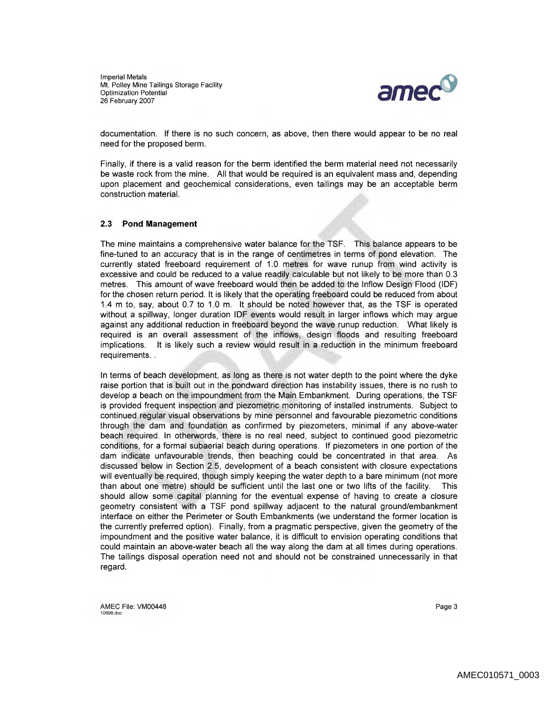Imperial Metals Mt. Polley Mine Tailings Storage Facility Optimization Potential<br>26 February 2007



documentation. If there is no such concern, as above, then there would appear to be no real need for the proposed berm.

Finally, if there is a valid reason for the berm identified the berm material need not necessarily be waste rock from the mine. All that would be required is an equivalent mass and, depending upon placement and geochemical considerations, even tailings may be an acceptable berm construction material.

### 2.3 **Pond Management**

The mine maintains a comprehensive water balance for the TSF. This balance appears to be fine-tuned to an accuracy that is in the range of centimetres in terms of pond elevation. The currently stated freeboard requirement of 1.0 metres for wave runup from wind activity is excessive and could be reduced to a value readily calculable but not likely to be more than 0.3 metres. This amount of wave freeboard would then be added to the Inflow Design Flood (IDF) for the chosen return period. It is likely that the operating freeboard could be reduced from about 1.4 m to, say, about 0.7 to 1.0 m. It should be noted however that, as the TSF is operated without a spillway, longer duration IDF events would result in larger inflows which may argue against any additional reduction in freeboard beyond the wave runup reduction. What likely is required is an overall assessment of the inflows, design floods and resulting freeboard implications. It is likely such a review would result in a reduction in the minimum freeboard requirements...

In terms of beach development, as long as there is not water depth to the point where the dyke raise portion that is built out in the pondward direction has instability issues, there is no rush to develop a beach on the impoundment from the Main Embankment. During operations, the TSF is provided freguent inspection and piezometric monitoring of installed instruments. Subject to continued regular visual observations by mine personnel and favourable piezometric conditions through the dam and foundation as confirmed by piezometers, minimal if any above-water beach required. In otherwords, there is no real need, subject to continued good piezometric conditions, for a formal subaerial beach during operations. If piezometers in one portion of the dam indicate unfavourable trends, then beaching could be concentrated in that area. As discussed below in Section 2.5, development of a beach consistent with closure expectations will eventually be required, though simply keeping the water depth to a bare minimum (not more than about one metre) should be sufficient until the last one or two lifts of the facility. This should allow some capital planning for the eventual expense of having to create a closure geometry consistent with a TSF pond spillway adjacent to the natural ground/embankment interface on either the Perimeter or South Embankments (we understand the former location is the currently preferred option). Finally, from a pragmatic perspective, given the geometry of the impoundment and the positive water balance, it is difficult to envision operating conditions that could maintain an above-water beach all the way along the dam at all times during operations. The tailings disposal operation need not and should not be constrained unnecessarily in that regard.

AMEC File: VM00448 Page 3 2 10698.doc Page 3 10698.doc Page 3 10698.doc Page 3 10698.doc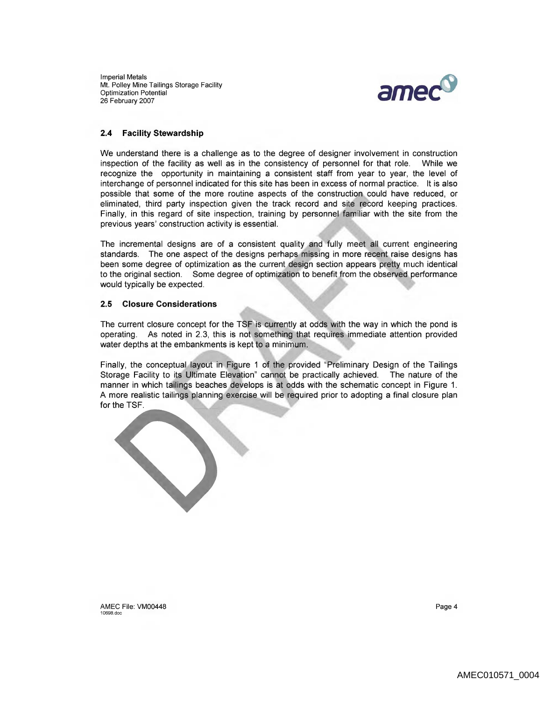Imperial Metals Mt. Polley Mine Tailings Storage Facility Optimization Potential 26 February 2007



### **2.4 Facility Stewardship**

We understand there is a challenge as to the degree of designer involvement in construction inspection of the facility as well as in the consistency of personnel for that role. While we recognize the opportunity in maintaining a consistent staff from year to year, the level of interchange of personnel indicated for this site has been in excess of normal practice. It is also possible that some of the more routine aspects of the construction could have reduced, or eliminated, third party inspection given the track record and site record keeping practices. Finally, in this regard of site inspection, training by personnel familiar with the site from the previous years' construction activity is essential.

The incremental designs are of a consistent quality and fully meet all current engineering standards. The one aspect of the designs perhaps missing in more recent raise designs has been some degree of optimization as the current design section appears pretty much identical to the original section. Some degree of optimization to benefit from the observed performance would typically be expected.

### **2.5 Closure Considerations**

The current closure concept for the TSF is currently at odds with the way in which the pond is operating. As noted in 2.3, this is not something that requires immediate attention provided water depths at the embankments is kept to a minimum.

Finally, the conceptual layout in Figure 1 of the provided "Preliminary Design of the Tailings Storage Facility to its Ultimate Elevation" cannot be practically achieved. The nature of the manner in which tailings beaches develops is at odds with the schematic concept in Figure 1. A more realistic tailings planning exercise will be required prior to adopting a final closure plan for the TSF.

AMEC File: VM00448 Page 4 Page 4 Page 4 Page 4 Page 4 Page 4 Page 4 Page 4 Page 4